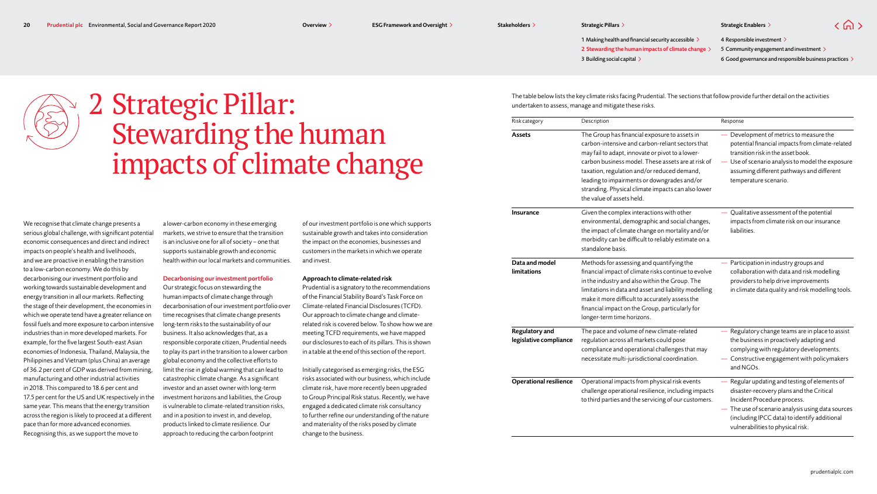$\langle \bigcap \rangle$ 

1 Making health and financial security accessible  $\geq$ 3 Building social capital > 2 Stewarding the human impacts of climate change  $\geq$ 

4 Responsible investment > 5 Community engagement and investment > 6 Good governance and responsible business practices



# 2  Strategic Pillar: Stewarding the human impacts of climate change

We recognise that climate change presents a serious global challenge, with significant potential economic consequences and direct and indirect impacts on people's health and livelihoods, and we are proactive in enabling the transition to a low-carbon economy. We do this by decarbonising our investment portfolio and working towards sustainable development and energy transition in all our markets. Reflecting the stage of their development, the economies in which we operate tend have a greater reliance on fossil fuels and more exposure to carbon intensive industries than in more developed markets. For example, for the five largest South-east Asian economies of Indonesia, Thailand, Malaysia, the Philippines and Vietnam (plus China) an average of 36.2 per cent of GDP was derived from mining, manufacturing and other industrial activities in 2018. This compared to 18.6 per cent and 17.5 per cent for the US and UK respectively in the same year. This means that the energy transition across the region is likely to proceed at a different pace than for more advanced economies. Recognising this, as we support the move to

a lower-carbon economy in these emerging markets, we strive to ensure that the transition is an inclusive one for all of society – one that supports sustainable growth and economic health within our local markets and communities.

#### Decarbonising our investment portfolio

Our strategic focus on stewarding the human impacts of climate change through decarbonisation of our investment portfolio over time recognises that climate change presents long-term risks to the sustainability of our business. It also acknowledges that, as a responsible corporate citizen, Prudential needs to play its part in the transition to a lower carbon global economy and the collective efforts to limit the rise in global warming that can lead to catastrophic climate change. As a significant investor and an asset owner with long-term investment horizons and liabilities, the Group is vulnerable to climate-related transition risks, and in a position to invest in, and develop, products linked to climate resilience. Our approach to reducing the carbon footprint

of our investment portfolio is one which supports sustainable growth and takes into consideration the impact on the economies, businesses and customers in the markets in which we operate and invest.

#### Approach to climate-related risk

Prudential is a signatory to the recommendations of the Financial Stability Board's Task Force on Climate-related Financial Disclosures (TCFD). Our approach to climate change and climaterelated risk is covered below. To show how we are meeting TCFD requirements, we have mapped our disclosures to each of its pillars. This is shown in a table at the end of this section of the report.

Initially categorised as emerging risks, the ESG risks associated with our business, which include climate risk, have more recently been upgraded to Group Principal Risk status. Recently, we have engaged a dedicated climate risk consultancy to further refine our understanding of the nature and materiality of the risks posed by climate change to the business.

The table below lists the key climate risks facing Prudential. The sections that follow provide further detail on the activities undertaken to assess, manage and mitigate these risks.

| Risk category                            | Description                                                                                                                                                                                                                                                                                                                                                                                  | Response                                                                                                                                                                                                                                                       |
|------------------------------------------|----------------------------------------------------------------------------------------------------------------------------------------------------------------------------------------------------------------------------------------------------------------------------------------------------------------------------------------------------------------------------------------------|----------------------------------------------------------------------------------------------------------------------------------------------------------------------------------------------------------------------------------------------------------------|
| <b>Assets</b>                            | The Group has financial exposure to assets in<br>carbon-intensive and carbon-reliant sectors that<br>may fail to adapt, innovate or pivot to a lower-<br>carbon business model. These assets are at risk of<br>taxation, regulation and/or reduced demand,<br>leading to impairments or downgrades and/or<br>stranding. Physical climate impacts can also lower<br>the value of assets held. | Development of metrics to measure the<br>potential financial impacts from climate-related<br>transition risk in the asset book.<br>Use of scenario analysis to model the exposure<br>assuming different pathways and different<br>temperature scenario.        |
| <b>Insurance</b>                         | Given the complex interactions with other<br>environmental, demographic and social changes,<br>the impact of climate change on mortality and/or<br>morbidity can be difficult to reliably estimate on a<br>standalone basis.                                                                                                                                                                 | Qualitative assessment of the potential<br>impacts from climate risk on our insurance<br>liabilities.                                                                                                                                                          |
| Data and model<br>limitations            | Methods for assessing and quantifying the<br>financial impact of climate risks continue to evolve<br>in the industry and also within the Group. The<br>limitations in data and asset and liability modelling<br>make it more difficult to accurately assess the<br>financial impact on the Group, particularly for<br>longer-term time horizons.                                             | Participation in industry groups and<br>collaboration with data and risk modelling<br>providers to help drive improvements<br>in climate data quality and risk modelling tools.                                                                                |
| Regulatory and<br>legislative compliance | The pace and volume of new climate-related<br>regulation across all markets could pose<br>compliance and operational challenges that may<br>necessitate multi-jurisdictional coordination.                                                                                                                                                                                                   | Regulatory change teams are in place to assist<br>the business in proactively adapting and<br>complying with regulatory developments.<br>- Constructive engagement with policymakers<br>and NGOs.                                                              |
| <b>Operational resilience</b>            | Operational impacts from physical risk events<br>challenge operational resilience, including impacts<br>to third parties and the servicing of our customers.                                                                                                                                                                                                                                 | Regular updating and testing of elements of<br>disaster-recovery plans and the Critical<br>Incident Procedure process.<br>The use of scenario analysis using data sources<br>(including IPCC data) to identify additional<br>vulnerabilities to physical risk. |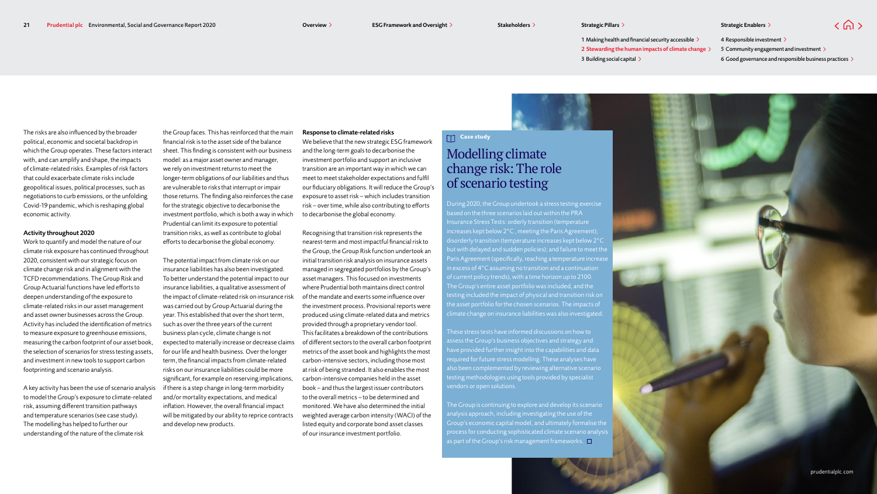$\langle \bigcap \rangle$ 

1 Making health and financial security accessible  $\geq$ 3 Building social capital > 2 Stewarding the human impacts of climate change  $\geq$ 

4 Responsible investment > 5 Community engagement and investment > 6 Good governance and responsible business practices  $\geq$ 

The risks are also influenced by the broader political, economic and societal backdrop in which the Group operates. These factors interact with, and can amplify and shape, the impacts of climate-related risks. Examples of risk factors that could exacerbate climate risks include geopolitical issues, political processes, such as negotiations to curb emissions, or the unfolding Covid-19 pandemic, which is reshaping global economic activity.

#### Activity throughout 2020

Work to quantify and model the nature of our climate risk exposure has continued throughout 2020, consistent with our strategic focus on climate change risk and in alignment with the TCFD recommendations. The Group Risk and Group Actuarial functions have led efforts to deepen understanding of the exposure to climate-related risks in our asset management and asset owner businesses across the Group. Activity has included the identification of metrics to measure exposure to greenhouse emissions, measuring the carbon footprint of our asset book, the selection of scenarios for stress testing assets, and investment in new tools to support carbon footprinting and scenario analysis.

A key activity has been the use of scenario analysis to model the Group's exposure to climate-related risk, assuming different transition pathways and temperature scenarios (see case study). The modelling has helped to further our understanding of the nature of the climate risk

the Group faces. This has reinforced that the main financial risk is to the asset side of the balance sheet. This finding is consistent with our business model: as a major asset owner and manager, we rely on investment returns to meet the longer-term obligations of our liabilities and thus are vulnerable to risks that interrupt or impair those returns. The finding also reinforces the case for the strategic objective to decarbonise the investment portfolio, which is both a way in which Prudential can limit its exposure to potential transition risks, as well as contribute to global efforts to decarbonise the global economy.

The potential impact from climate risk on our insurance liabilities has also been investigated. To better understand the potential impact to our insurance liabilities, a qualitative assessment of the impact of climate-related risk on insurance risk was carried out by Group Actuarial during the year. This established that over the short term, such as over the three years of the current business plan cycle, climate change is not expected to materially increase or decrease claims for our life and health business. Over the longer term, the financial impacts from climate-related risks on our insurance liabilities could be more significant, for example on reserving implications, if there is a step change in long-term morbidity and/or mortality expectations, and medical inflation. However, the overall financial impact will be mitigated by our ability to reprice contracts and develop new products.

#### Response to climate-related risks

We believe that the new strategic ESG framework and the long-term goals to decarbonise the investment portfolio and support an inclusive transition are an important way in which we can meet to meet stakeholder expectations and fulfil our fiduciary obligations. It will reduce the Group's exposure to asset risk – which includes transition risk – over time, while also contributing to efforts to decarbonise the global economy.

Recognising that transition risk represents the nearest-term and most impactful financial risk to the Group, the Group Risk function undertook an initial transition risk analysis on insurance assets managed in segregated portfolios by the Group's asset managers. This focused on investments where Prudential both maintains direct control of the mandate and exerts some influence over the investment process. Provisional reports were produced using climate-related data and metrics provided through a proprietary vendor tool. This facilitates a breakdown of the contributions of different sectors to the overall carbon footprint metrics of the asset book and highlights the most carbon-intensive sectors, including those most at risk of being stranded. It also enables the most carbon-intensive companies held in the asset book – and thus the largest issuer contributors to the overall metrics – to be determined and monitored. We have also determined the initial weighted average carbon intensity (WACI) of the listed equity and corporate bond asset classes of our insurance investment portfolio.

## **Case study**

# Modelling climate change risk: The role of scenario testing

During 2020, the Group undertook a stress testing exercise based on the three scenarios laid out within the PRA Insurance Stress Tests: orderly transition (temperature ncreases kept below 2°C , meeting the Paris Agreement); disorderly transition (temperature increases kept below 2°C but with delayed and sudden policies); and failure to meet the Paris Agreement (specifically, reaching a temperature increase n excess of 4°C assuming no transition and a continuation The Group's entire asset portfolio was included, and the testing included the impact of physical and transition risk on the asset portfolio for the chosen scenarios. The impacts of climate change on insurance liabilities was also investigated.

These stress tests have informed discussions on how to assess the Group's business objectives and strategy and have provided further insight into the capabilities and data required for future stress modelling. These analyses have also been complemented by reviewing alternative scenario testing methodologies using tools provided by specialist vendors or open solutions.

The Group is continuing to explore and develop its scenario analysis approach, including investigating the use of the Group's economic capital model, and ultimately formalise the process for conducting sophisticated climate scenario analysis as part of the Group's risk management frameworks.  $\square$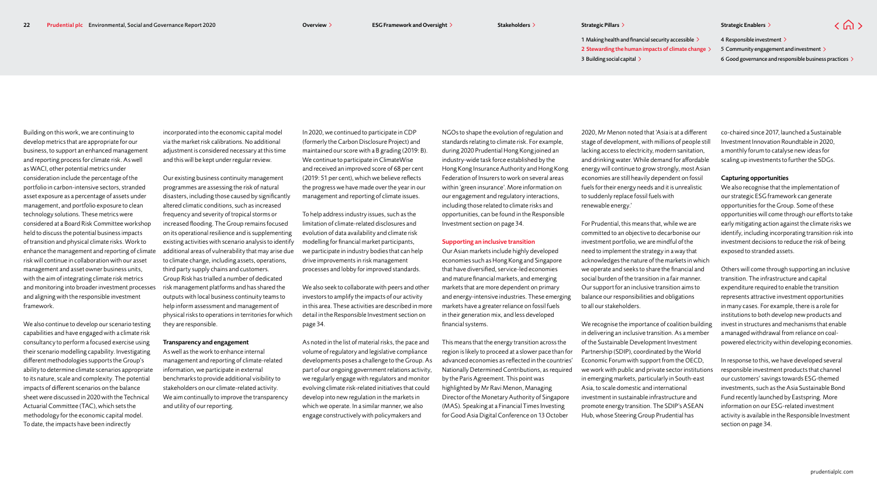1 Making health and financial security accessible  $\geq$ 3 Building social capital > 2 Stewarding the human impacts of climate change  $\geq$ 

4 Responsible investment > 5 Community engagement and investment > 6 Good governance and responsible business practices  $\geq$ 

 $\langle$   $\bigcap$   $\rangle$ 

Building on this work, we are continuing to develop metrics that are appropriate for our business, to support an enhanced management and reporting process for climate risk. As well as WACI, other potential metrics under consideration include the percentage of the portfolio in carbon-intensive sectors, stranded asset exposure as a percentage of assets under management, and portfolio exposure to clean technology solutions. These metrics were considered at a Board Risk Committee workshop held to discuss the potential business impacts of transition and physical climate risks. Work to enhance the management and reporting of climate risk will continue in collaboration with our asset management and asset owner business units, with the aim of integrating climate risk metrics and monitoring into broader investment processes and aligning with the responsible investment framework.

We also continue to develop our scenario testing capabilities and have engaged with a climate risk consultancy to perform a focused exercise using their scenario modelling capability. Investigating different methodologies supports the Group's ability to determine climate scenarios appropriate to its nature, scale and complexity. The potential impacts of different scenarios on the balance sheet were discussed in 2020 with the Technical Actuarial Committee (TAC), which sets the methodology for the economic capital model. To date, the impacts have been indirectly

incorporated into the economic capital model via the market risk calibrations. No additional adjustment is considered necessary at this time and this will be kept under regular review.

Our existing business continuity management programmes are assessing the risk of natural disasters, including those caused by significantly altered climatic conditions, such as increased frequency and severity of tropical storms or increased flooding. The Group remains focused on its operational resilience and is supplementing existing activities with scenario analysis to identify additional areas of vulnerability that may arise due to climate change, including assets, operations, third party supply chains and customers. Group Risk has trialled a number of dedicated risk management platforms and has shared the outputs with local business continuity teams to help inform assessment and management of physical risks to operations in territories for which they are responsible.

#### Transparency and engagement

As well as the work to enhance internal management and reporting of climate-related information, we participate in external benchmarks to provide additional visibility to stakeholders on our climate-related activity. We aim continually to improve the transparency and utility of our reporting.

In 2020, we continued to participate in CDP (formerly the Carbon Disclosure Project) and maintained our score with a B grading (2019: B). We continue to participate in ClimateWise and received an improved score of 68 per cent (2019: 51 per cent), which we believe reflects the progress we have made over the year in our management and reporting of climate issues.

To help address industry issues, such as the limitation of climate-related disclosures and evolution of data availability and climate risk modelling for financial market participants, we participate in industry bodies that can help drive improvements in risk management processes and lobby for improved standards.

We also seek to collaborate with peers and other investors to amplify the impacts of our activity in this area. These activities are described in more detail in the Responsible Investment section on page 34.

As noted in the list of material risks, the pace and volume of regulatory and legislative compliance developments poses a challenge to the Group. As part of our ongoing government relations activity, we regularly engage with regulators and monitor evolving climate risk-related initiatives that could develop into new regulation in the markets in which we operate. In a similar manner, we also engage constructively with policymakers and

NGOs to shape the evolution of regulation and standards relating to climate risk. For example, during 2020 Prudential Hong Kong joined an industry-wide task force established by the Hong Kong Insurance Authority and Hong Kong Federation of Insurers to work on several areas within 'green insurance'. More information on our engagement and regulatory interactions, including those related to climate risks and opportunities, can be found in the Responsible Investment section on page 34.

#### Supporting an inclusive transition

Our Asian markets include highly developed economies such as Hong Kong and Singapore that have diversified, service-led economies and mature financial markets, and emerging markets that are more dependent on primary and energy-intensive industries. These emerging markets have a greater reliance on fossil fuels in their generation mix, and less developed financial systems.

This means that the energy transition across the region is likely to proceed at a slower pace than for advanced economies as reflected in the countries' Nationally Determined Contributions, as required by the Paris Agreement. This point was highlighted by Mr Ravi Menon, Managing Director of the Monetary Authority of Singapore (MAS). Speaking at a Financial Times Investing for Good Asia Digital Conference on 13 October

2020, Mr Menon noted that 'Asia is at a different stage of development, with millions of people still lacking access to electricity, modern sanitation, and drinking water. While demand for affordable energy will continue to grow strongly, most Asian economies are still heavily dependent on fossil fuels for their energy needs and it is unrealistic to suddenly replace fossil fuels with renewable energy.'

For Prudential, this means that, while we are committed to an objective to decarbonise our investment portfolio, we are mindful of the need to implement the strategy in a way that acknowledges the nature of the markets in which we operate and seeks to share the financial and social burden of the transition in a fair manner. Our support for an inclusive transition aims to balance our responsibilities and obligations to all our stakeholders.

We recognise the importance of coalition building in delivering an inclusive transition. As a member of the Sustainable Development Investment Partnership (SDIP), coordinated by the World Economic Forum with support from the OECD, we work with public and private sector institutions in emerging markets, particularly in South-east Asia, to scale domestic and international investment in sustainable infrastructure and promote energy transition. The SDIP's ASEAN Hub, whose Steering Group Prudential has

co-chaired since 2017, launched a Sustainable Investment Innovation Roundtable in 2020, a monthly forum to catalyse new ideas for scaling up investments to further the SDGs.

#### Capturing opportunities

We also recognise that the implementation of our strategic ESG framework can generate opportunities for the Group. Some of these opportunities will come through our efforts to take early mitigating action against the climate risks we identify, including incorporating transition risk into investment decisions to reduce the risk of being exposed to stranded assets.

Others will come through supporting an inclusive transition. The infrastructure and capital expenditure required to enable the transition represents attractive investment opportunities in many cases. For example, there is a role for institutions to both develop new products and invest in structures and mechanisms that enable a managed withdrawal from reliance on coalpowered electricity within developing economies.

In response to this, we have developed several responsible investment products that channel our customers' savings towards ESG-themed investments, such as the Asia Sustainable Bond Fund recently launched by Eastspring. More information on our ESG-related investment activity is available in the Responsible Investment section on page 34.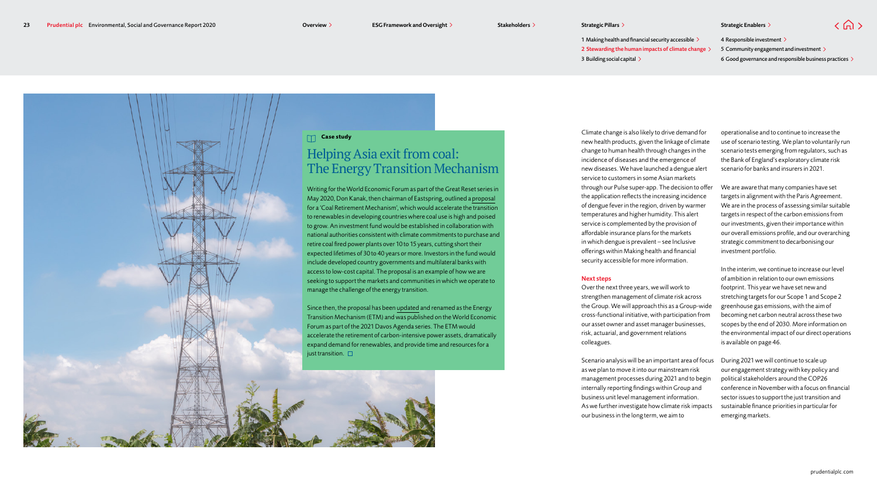1 Making health and financial security accessible  $\geq$ 3 Building social capital  $\geq$ 2 Stewarding the human impacts of climate change  $\geq$ 

4 Responsible investment > 5 Community engagement and investment > 6 Good governance and responsible business practices  $\geq$ 

 $\langle \bigcap \rangle$ 



# Helping Asia exit from coal: The Energy Transition Mechanism

Writing for the World Economic Forum as part of the Great Reset series in May 2020, Don Kanak, then chairman of Eastspring, outlined a [proposal](https://www.weforum.org/agenda/2020/05/how-to-replace-coal-and-accelerate-the-energy-transition-in-developing-countries/) for a 'Coal Retirement Mechanism', which would accelerate the transition to renewables in developing countries where coal use is high and poised to grow. An investment fund would be established in collaboration with national authorities consistent with climate commitments to purchase and retire coal fired power plants over 10 to 15 years, cutting short their expected lifetimes of 30 to 40 years or more. Investors in the fund would include developed country governments and multilateral banks with access to low-cost capital. The proposal is an example of how we are seeking to support the markets and communities in which we operate to manage the challenge of the energy transition.

Since then, the proposal has been [updated](http://www.weforum.org/agenda/2021/01/how-to-accelerate-the-energy-transition-in-developing-economies) and renamed as the Energy Transition Mechanism (ETM) and was published on the World Economic Forum as part of the 2021 Davos Agenda series. The ETM would accelerate the retirement of carbon-intensive power assets, dramatically expand demand for renewables, and provide time and resources for a just transition.  $\square$ 

Climate change is also likely to drive demand for new health products, given the linkage of climate change to human health through changes in the incidence of diseases and the emergence of new diseases. We have launched a dengue alert service to customers in some Asian markets through our Pulse super-app. The decision to offer the application reflects the increasing incidence of dengue fever in the region, driven by warmer temperatures and higher humidity. This alert service is complemented by the provision of affordable insurance plans for the markets in which dengue is prevalent – see Inclusive offerings within Making health and financial security accessible for more information.

#### Next steps

Over the next three years, we will work to strengthen management of climate risk across the Group. We will approach this as a Group-wide cross-functional initiative, with participation from our asset owner and asset manager businesses, risk, actuarial, and government relations colleagues.

Scenario analysis will be an important area of focus as we plan to move it into our mainstream risk management processes during 2021 and to begin internally reporting findings within Group and business unit level management information. As we further investigate how climate risk impacts our business in the long term, we aim to

operationalise and to continue to increase the use of scenario testing. We plan to voluntarily run scenario tests emerging from regulators, such as the Bank of England's exploratory climate risk scenario for banks and insurers in 2021.

We are aware that many companies have set targets in alignment with the Paris Agreement. We are in the process of assessing similar suitable targets in respect of the carbon emissions from our investments, given their importance within our overall emissions profile, and our overarching strategic commitment to decarbonising our investment portfolio.

In the interim, we continue to increase our level of ambition in relation to our own emissions footprint. This year we have set new and stretching targets for our Scope 1 and Scope 2 greenhouse gas emissions, with the aim of becoming net carbon neutral across these two scopes by the end of 2030. More information on the environmental impact of our direct operations is available on page 46.

During 2021 we will continue to scale up our engagement strategy with key policy and political stakeholders around the COP26 conference in November with a focus on financial sector issues to support the just transition and sustainable finance priorities in particular for emerging markets.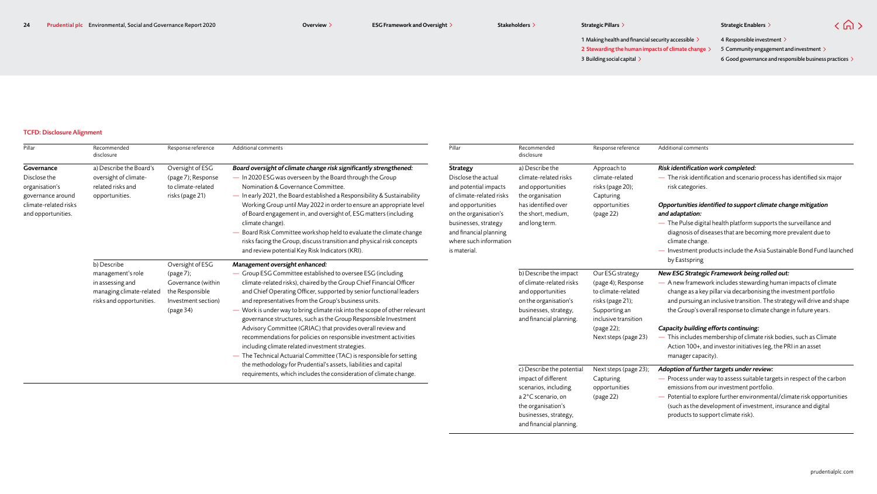Overview > ESG Framework and Oversight > Stakeholders > Strategic Pillars > Strategic Pillars Strategic Enablers > Strategic Pillars > Strategic Pillars > Strategic Pillars > Strategic Pillars > Strategic Pillars > Strateg

4 Responsible investment >

 $\langle$   $\hat{m}$   $\rangle$ 

1 Making health and financial security accessible  $\geq$ 3 Building social capital >  $2$  Stewarding the human impacts of climate change  $\,>$   $\,$   $\,$  5 Community engagement and investment 6 Good governance and responsible business practices  $\geq$ 

### TCFD: Disclosure Alignment

| Pillar                | Recommended<br>disclosure                    | Response reference                    | Additional comments                                                                                                                                                                                           | Pillar                   | Recommended<br>disclosure                     | Response reference                       | Additional comments                                                                                                                 |
|-----------------------|----------------------------------------------|---------------------------------------|---------------------------------------------------------------------------------------------------------------------------------------------------------------------------------------------------------------|--------------------------|-----------------------------------------------|------------------------------------------|-------------------------------------------------------------------------------------------------------------------------------------|
| Governance            | a) Describe the Board's                      | Oversight of ESG                      | Board oversight of climate change risk significantly strengthened:                                                                                                                                            | Strategy                 | a) Describe the                               | Approach to                              | Risk identification work completed:                                                                                                 |
| Disclose the          | oversight of climate-                        | (page 7); Response                    | - In 2020 ESG was overseen by the Board through the Group                                                                                                                                                     | Disclose the actual      | climate-related risks                         | climate-related                          | $-$ The risk identification and scenario process has identified six major                                                           |
| organisation's        | related risks and                            | to climate-related                    | Nomination & Governance Committee.                                                                                                                                                                            | and potential impacts    | and opportunities                             | risks (page 20);                         | risk categories.                                                                                                                    |
| governance around     | opportunities.                               | risks (page 21)                       | - In early 2021, the Board established a Responsibility & Sustainability                                                                                                                                      | of climate-related risks | the organisation                              | Capturing                                |                                                                                                                                     |
| climate-related risks |                                              |                                       | Working Group until May 2022 in order to ensure an appropriate level                                                                                                                                          | and opportunities        | has identified over                           | opportunities                            | Opportunities identified to support climate change mitigation                                                                       |
| and opportunities.    |                                              |                                       | of Board engagement in, and oversight of, ESG matters (including                                                                                                                                              | on the organisation's    | the short, medium,                            | (page 22)                                | and adaptation:                                                                                                                     |
|                       |                                              |                                       | climate change).                                                                                                                                                                                              | businesses, strategy     | and long term.                                |                                          | - The Pulse digital health platform supports the surveillance and                                                                   |
|                       |                                              |                                       | - Board Risk Committee workshop held to evaluate the climate change                                                                                                                                           | and financial planning   |                                               |                                          | diagnosis of diseases that are becoming more prevalent due to                                                                       |
|                       |                                              |                                       | risks facing the Group, discuss transition and physical risk concepts                                                                                                                                         | where such information   |                                               |                                          | climate change.                                                                                                                     |
|                       |                                              |                                       | and review potential Key Risk Indicators (KRI).                                                                                                                                                               | is material.             |                                               |                                          | - Investment products include the Asia Sustainable Bond Fund launched                                                               |
|                       | b) Describe                                  | Oversight of ESG                      | Management oversight enhanced:                                                                                                                                                                                |                          |                                               |                                          | by Eastspring                                                                                                                       |
|                       | management's role                            | $\frac{1}{2}$ (page 7);               | - Group ESG Committee established to oversee ESG (including                                                                                                                                                   |                          | b) Describe the impact                        | Our ESG strategy                         | New ESG Strategic Framework being rolled out:                                                                                       |
|                       | in assessing and<br>managing climate-related | Governance (within<br>the Responsible | climate-related risks), chaired by the Group Chief Financial Officer<br>and Chief Operating Officer, supported by senior functional leaders                                                                   |                          | of climate-related risks<br>and opportunities | (page 4); Response<br>to climate-related | - A new framework includes stewarding human impacts of climate<br>change as a key pillar via decarbonising the investment portfolio |
|                       | risks and opportunities.                     | Investment section)                   | and representatives from the Group's business units.                                                                                                                                                          |                          | on the organisation's                         | risks (page 21);                         | and pursuing an inclusive transition. The strategy will drive and shape                                                             |
|                       |                                              | $\frac{1}{2}$                         | - Work is under way to bring climate risk into the scope of other relevant                                                                                                                                    |                          | businesses, strategy,                         | Supporting an                            | the Group's overall response to climate change in future years.                                                                     |
|                       |                                              |                                       | governance structures, such as the Group Responsible Investment<br>Advisory Committee (GRIAC) that provides overall review and                                                                                |                          | and financial planning.                       | inclusive transition                     |                                                                                                                                     |
|                       |                                              |                                       |                                                                                                                                                                                                               |                          |                                               | (page 22);                               | Capacity building efforts continuing:                                                                                               |
|                       |                                              |                                       | recommendations for policies on responsible investment activities                                                                                                                                             |                          |                                               | Next steps (page 23)                     | - This includes membership of climate risk bodies, such as Climate                                                                  |
|                       |                                              |                                       | including climate related investment strategies.                                                                                                                                                              |                          |                                               |                                          | Action 100+, and investor initiatives (eg, the PRI in an asset                                                                      |
|                       |                                              |                                       | - The Technical Actuarial Committee (TAC) is responsible for setting<br>the methodology for Prudential's assets, liabilities and capital<br>requirements, which includes the consideration of climate change. |                          |                                               |                                          | manager capacity).                                                                                                                  |
|                       |                                              |                                       |                                                                                                                                                                                                               |                          | c) Describe the potential                     | Next steps (page 23);                    | Adoption of further targets under review:                                                                                           |
|                       |                                              |                                       |                                                                                                                                                                                                               |                          | impact of different                           | Capturing                                | - Process under way to assess suitable targets in respect of the carbon                                                             |
|                       |                                              |                                       |                                                                                                                                                                                                               |                          | scenarios, including                          | opportunities                            | emissions from our investment portfolio.                                                                                            |
|                       |                                              |                                       |                                                                                                                                                                                                               |                          | a 2°C scenario, on                            | (page 22)                                | - Potential to explore further environmental/climate risk opportunities                                                             |
|                       |                                              |                                       |                                                                                                                                                                                                               |                          | the organisation's                            |                                          | (such as the development of investment, insurance and digital                                                                       |
|                       |                                              |                                       |                                                                                                                                                                                                               |                          | businesses, strategy,                         |                                          | products to support climate risk).                                                                                                  |
|                       |                                              |                                       |                                                                                                                                                                                                               |                          | and financial planning.                       |                                          |                                                                                                                                     |